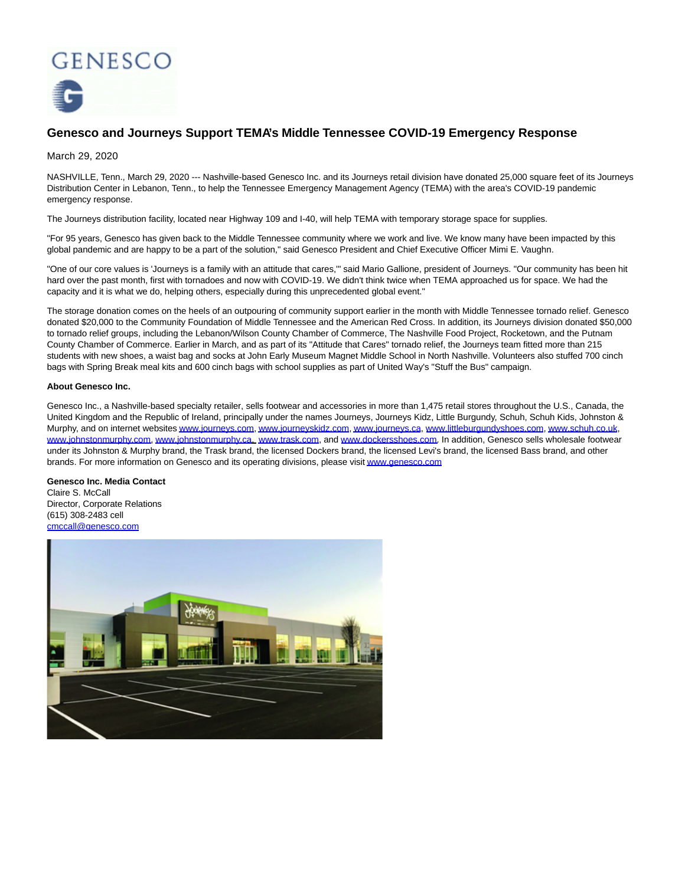

## **Genesco and Journeys Support TEMA's Middle Tennessee COVID-19 Emergency Response**

March 29, 2020

NASHVILLE, Tenn., March 29, 2020 --- Nashville-based Genesco Inc. and its Journeys retail division have donated 25,000 square feet of its Journeys Distribution Center in Lebanon, Tenn., to help the Tennessee Emergency Management Agency (TEMA) with the area's COVID-19 pandemic emergency response.

The Journeys distribution facility, located near Highway 109 and I-40, will help TEMA with temporary storage space for supplies.

"For 95 years, Genesco has given back to the Middle Tennessee community where we work and live. We know many have been impacted by this global pandemic and are happy to be a part of the solution," said Genesco President and Chief Executive Officer Mimi E. Vaughn.

"One of our core values is 'Journeys is a family with an attitude that cares,'" said Mario Gallione, president of Journeys. "Our community has been hit hard over the past month, first with tornadoes and now with COVID-19. We didn't think twice when TEMA approached us for space. We had the capacity and it is what we do, helping others, especially during this unprecedented global event."

The storage donation comes on the heels of an outpouring of community support earlier in the month with Middle Tennessee tornado relief. Genesco donated \$20,000 to the Community Foundation of Middle Tennessee and the American Red Cross. In addition, its Journeys division donated \$50,000 to tornado relief groups, including the Lebanon/Wilson County Chamber of Commerce, The Nashville Food Project, Rocketown, and the Putnam County Chamber of Commerce. Earlier in March, and as part of its "Attitude that Cares" tornado relief, the Journeys team fitted more than 215 students with new shoes, a waist bag and socks at John Early Museum Magnet Middle School in North Nashville. Volunteers also stuffed 700 cinch bags with Spring Break meal kits and 600 cinch bags with school supplies as part of United Way's "Stuff the Bus" campaign.

## **About Genesco Inc.**

Genesco Inc., a Nashville-based specialty retailer, sells footwear and accessories in more than 1,475 retail stores throughout the U.S., Canada, the United Kingdom and the Republic of Ireland, principally under the names Journeys, Journeys Kidz, Little Burgundy, Schuh, Schuh Kids, Johnston & Murphy, and on internet website[s www.journeys.com,](http://www.journeys.com/) [www.journeyskidz.com,](http://www.journeyskidz.com/) [www.journeys.ca,](http://www.journeys.ca/) [www.littleburgundyshoes.com,](http://www.littleburgundyshoes.com/) [www.schuh.co.uk,](http://www.schuh.co.uk/) [www.johnstonmurphy.com,](http://www.johnstonmurphy.com/) [www.johnstonmurphy.ca,](http://www.johnstonmurphy.ca/) [www.trask.com,](http://www.trask.com/) and [www.dockersshoes.com.](http://www.dockersshoes.com/) In addition, Genesco sells wholesale footwear under its Johnston & Murphy brand, the Trask brand, the licensed Dockers brand, the licensed Levi's brand, the licensed Bass brand, and other brands. For more information on Genesco and its operating divisions, please visi[t www.genesco.com](http://www.genesco.com/)

**Genesco Inc. Media Contact** Claire S. McCall Director, Corporate Relations (615) 308-2483 cell [cmccall@genesco.com](mailto:cmccall@genesco.com)

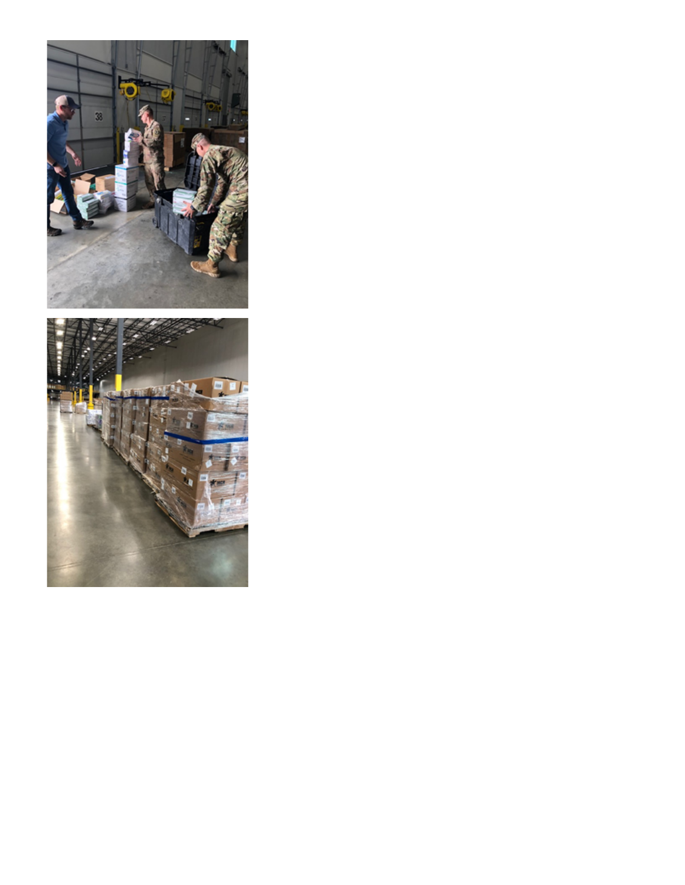